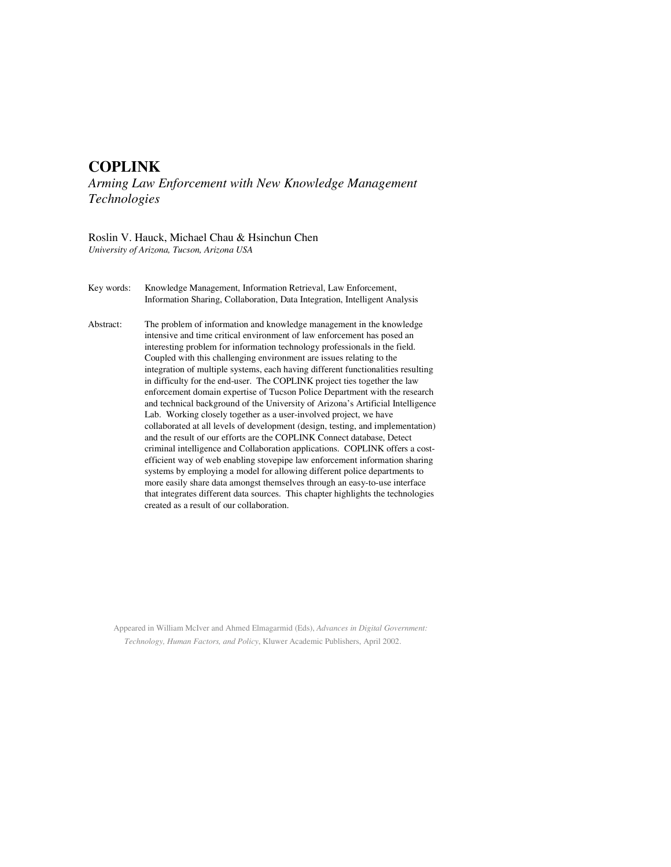# **COPLINK**

*Arming Law Enforcement with New Knowledge Management Technologies* 

Roslin V. Hauck, Michael Chau & Hsinchun Chen *University of Arizona, Tucson, Arizona USA* 

Key words: Knowledge Management, Information Retrieval, Law Enforcement, Information Sharing, Collaboration, Data Integration, Intelligent Analysis

Abstract: The problem of information and knowledge management in the knowledge intensive and time critical environment of law enforcement has posed an interesting problem for information technology professionals in the field. Coupled with this challenging environment are issues relating to the integration of multiple systems, each having different functionalities resulting in difficulty for the end-user. The COPLINK project ties together the law enforcement domain expertise of Tucson Police Department with the research and technical background of the University of Arizona's Artificial Intelligence Lab. Working closely together as a user-involved project, we have collaborated at all levels of development (design, testing, and implementation) and the result of our efforts are the COPLINK Connect database, Detect criminal intelligence and Collaboration applications. COPLINK offers a costefficient way of web enabling stovepipe law enforcement information sharing systems by employing a model for allowing different police departments to more easily share data amongst themselves through an easy-to-use interface that integrates different data sources. This chapter highlights the technologies created as a result of our collaboration.

Appeared in William McIver and Ahmed Elmagarmid (Eds), *Advances in Digital Government: Technology, Human Factors, and Policy*, Kluwer Academic Publishers, April 2002.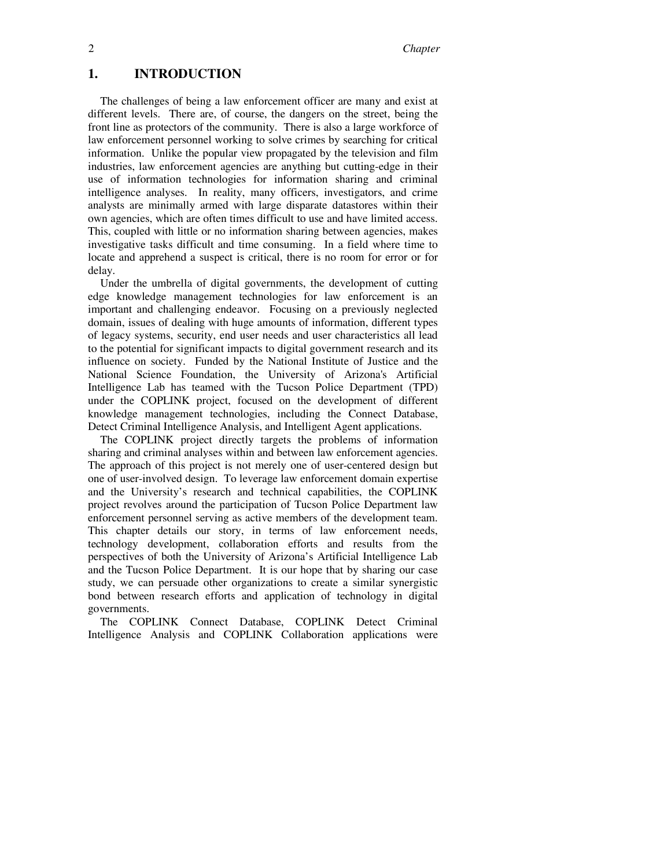## **1. INTRODUCTION**

The challenges of being a law enforcement officer are many and exist at different levels. There are, of course, the dangers on the street, being the front line as protectors of the community. There is also a large workforce of law enforcement personnel working to solve crimes by searching for critical information. Unlike the popular view propagated by the television and film industries, law enforcement agencies are anything but cutting-edge in their use of information technologies for information sharing and criminal intelligence analyses. In reality, many officers, investigators, and crime analysts are minimally armed with large disparate datastores within their own agencies, which are often times difficult to use and have limited access. This, coupled with little or no information sharing between agencies, makes investigative tasks difficult and time consuming. In a field where time to locate and apprehend a suspect is critical, there is no room for error or for delay.

Under the umbrella of digital governments, the development of cutting edge knowledge management technologies for law enforcement is an important and challenging endeavor. Focusing on a previously neglected domain, issues of dealing with huge amounts of information, different types of legacy systems, security, end user needs and user characteristics all lead to the potential for significant impacts to digital government research and its influence on society. Funded by the National Institute of Justice and the National Science Foundation, the University of Arizona's Artificial Intelligence Lab has teamed with the Tucson Police Department (TPD) under the COPLINK project, focused on the development of different knowledge management technologies, including the Connect Database, Detect Criminal Intelligence Analysis, and Intelligent Agent applications.

The COPLINK project directly targets the problems of information sharing and criminal analyses within and between law enforcement agencies. The approach of this project is not merely one of user-centered design but one of user-involved design. To leverage law enforcement domain expertise and the University's research and technical capabilities, the COPLINK project revolves around the participation of Tucson Police Department law enforcement personnel serving as active members of the development team. This chapter details our story, in terms of law enforcement needs, technology development, collaboration efforts and results from the perspectives of both the University of Arizona's Artificial Intelligence Lab and the Tucson Police Department. It is our hope that by sharing our case study, we can persuade other organizations to create a similar synergistic bond between research efforts and application of technology in digital governments.

The COPLINK Connect Database, COPLINK Detect Criminal Intelligence Analysis and COPLINK Collaboration applications were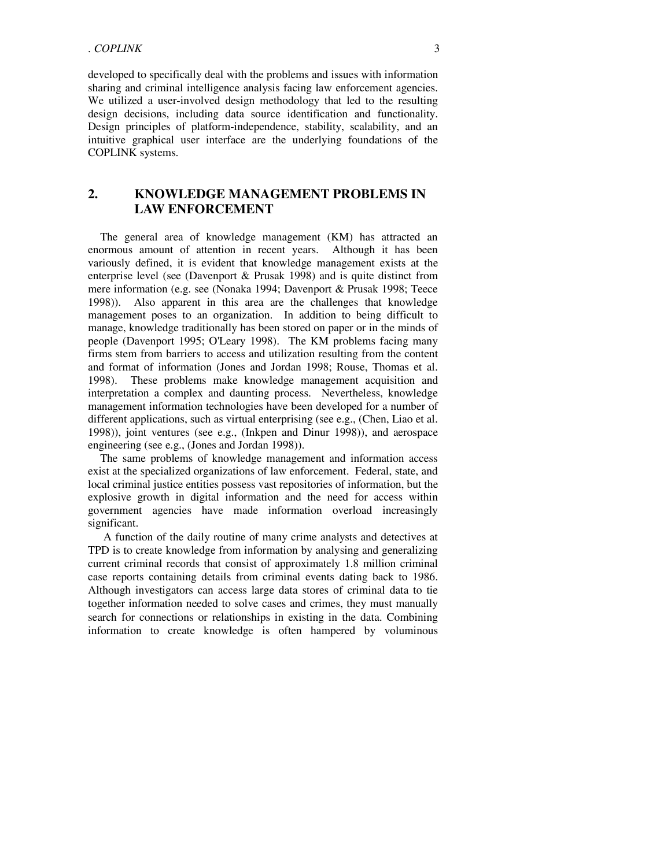developed to specifically deal with the problems and issues with information sharing and criminal intelligence analysis facing law enforcement agencies. We utilized a user-involved design methodology that led to the resulting design decisions, including data source identification and functionality. Design principles of platform-independence, stability, scalability, and an intuitive graphical user interface are the underlying foundations of the COPLINK systems.

# **2. KNOWLEDGE MANAGEMENT PROBLEMS IN LAW ENFORCEMENT**

The general area of knowledge management (KM) has attracted an enormous amount of attention in recent years. Although it has been variously defined, it is evident that knowledge management exists at the enterprise level (see (Davenport & Prusak 1998) and is quite distinct from mere information (e.g. see (Nonaka 1994; Davenport & Prusak 1998; Teece 1998)). Also apparent in this area are the challenges that knowledge management poses to an organization. In addition to being difficult to manage, knowledge traditionally has been stored on paper or in the minds of people (Davenport 1995; O'Leary 1998). The KM problems facing many firms stem from barriers to access and utilization resulting from the content and format of information (Jones and Jordan 1998; Rouse, Thomas et al. 1998). These problems make knowledge management acquisition and interpretation a complex and daunting process. Nevertheless, knowledge management information technologies have been developed for a number of different applications, such as virtual enterprising (see e.g., (Chen, Liao et al. 1998)), joint ventures (see e.g., (Inkpen and Dinur 1998)), and aerospace engineering (see e.g., (Jones and Jordan 1998)).

The same problems of knowledge management and information access exist at the specialized organizations of law enforcement. Federal, state, and local criminal justice entities possess vast repositories of information, but the explosive growth in digital information and the need for access within government agencies have made information overload increasingly significant.

A function of the daily routine of many crime analysts and detectives at TPD is to create knowledge from information by analysing and generalizing current criminal records that consist of approximately 1.8 million criminal case reports containing details from criminal events dating back to 1986. Although investigators can access large data stores of criminal data to tie together information needed to solve cases and crimes, they must manually search for connections or relationships in existing in the data. Combining information to create knowledge is often hampered by voluminous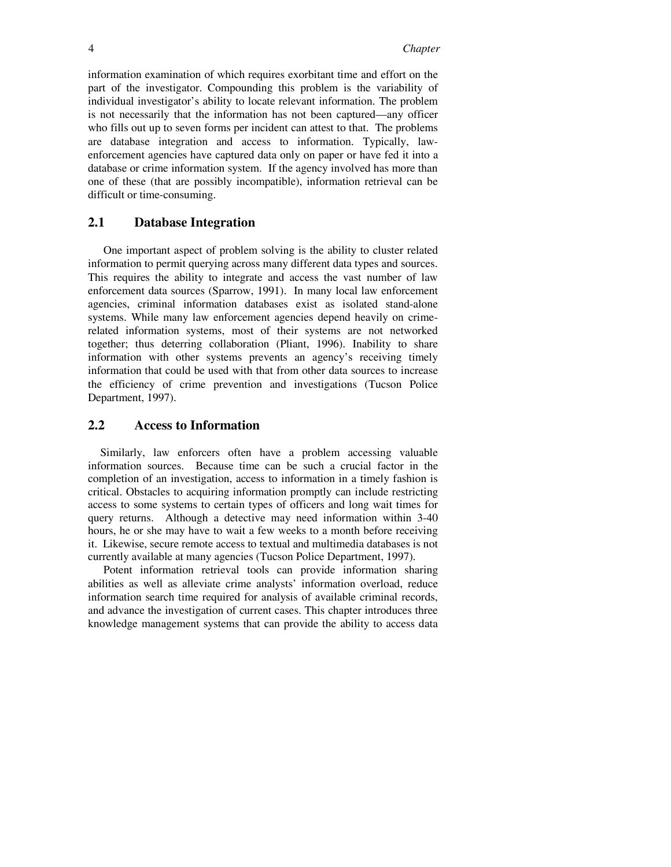information examination of which requires exorbitant time and effort on the part of the investigator. Compounding this problem is the variability of individual investigator's ability to locate relevant information. The problem is not necessarily that the information has not been captured—any officer who fills out up to seven forms per incident can attest to that. The problems are database integration and access to information. Typically, lawenforcement agencies have captured data only on paper or have fed it into a database or crime information system. If the agency involved has more than one of these (that are possibly incompatible), information retrieval can be difficult or time-consuming.

## **2.1 Database Integration**

One important aspect of problem solving is the ability to cluster related information to permit querying across many different data types and sources. This requires the ability to integrate and access the vast number of law enforcement data sources (Sparrow, 1991). In many local law enforcement agencies, criminal information databases exist as isolated stand-alone systems. While many law enforcement agencies depend heavily on crimerelated information systems, most of their systems are not networked together; thus deterring collaboration (Pliant, 1996). Inability to share information with other systems prevents an agency's receiving timely information that could be used with that from other data sources to increase the efficiency of crime prevention and investigations (Tucson Police Department, 1997).

## **2.2 Access to Information**

Similarly, law enforcers often have a problem accessing valuable information sources. Because time can be such a crucial factor in the completion of an investigation, access to information in a timely fashion is critical. Obstacles to acquiring information promptly can include restricting access to some systems to certain types of officers and long wait times for query returns. Although a detective may need information within 3-40 hours, he or she may have to wait a few weeks to a month before receiving it. Likewise, secure remote access to textual and multimedia databases is not currently available at many agencies (Tucson Police Department, 1997).

Potent information retrieval tools can provide information sharing abilities as well as alleviate crime analysts' information overload, reduce information search time required for analysis of available criminal records, and advance the investigation of current cases. This chapter introduces three knowledge management systems that can provide the ability to access data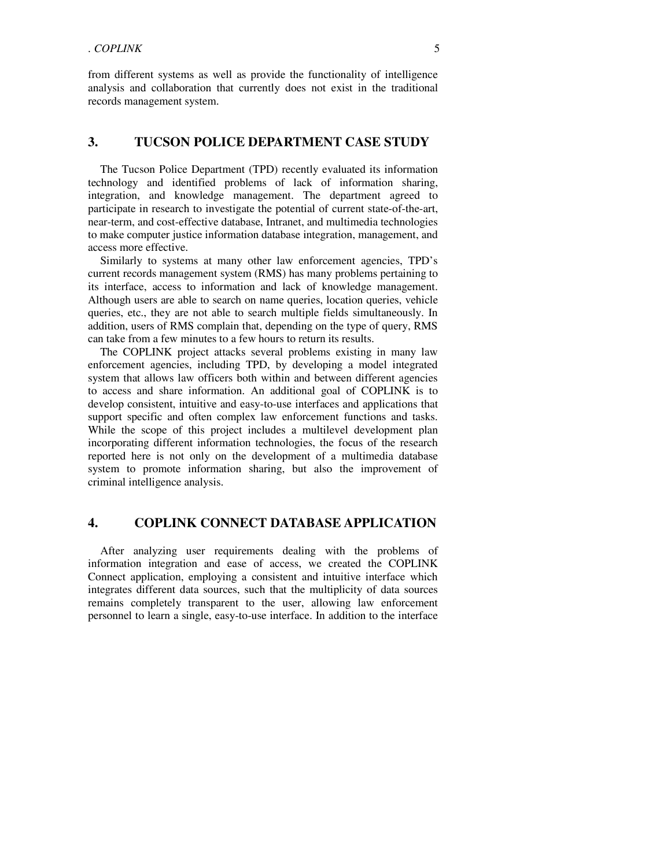from different systems as well as provide the functionality of intelligence analysis and collaboration that currently does not exist in the traditional records management system.

## **3. TUCSON POLICE DEPARTMENT CASE STUDY**

The Tucson Police Department (TPD) recently evaluated its information technology and identified problems of lack of information sharing, integration, and knowledge management. The department agreed to participate in research to investigate the potential of current state-of-the-art, near-term, and cost-effective database, Intranet, and multimedia technologies to make computer justice information database integration, management, and access more effective.

Similarly to systems at many other law enforcement agencies, TPD's current records management system (RMS) has many problems pertaining to its interface, access to information and lack of knowledge management. Although users are able to search on name queries, location queries, vehicle queries, etc., they are not able to search multiple fields simultaneously. In addition, users of RMS complain that, depending on the type of query, RMS can take from a few minutes to a few hours to return its results.

The COPLINK project attacks several problems existing in many law enforcement agencies, including TPD, by developing a model integrated system that allows law officers both within and between different agencies to access and share information. An additional goal of COPLINK is to develop consistent, intuitive and easy-to-use interfaces and applications that support specific and often complex law enforcement functions and tasks. While the scope of this project includes a multilevel development plan incorporating different information technologies, the focus of the research reported here is not only on the development of a multimedia database system to promote information sharing, but also the improvement of criminal intelligence analysis.

# **4. COPLINK CONNECT DATABASE APPLICATION**

After analyzing user requirements dealing with the problems of information integration and ease of access, we created the COPLINK Connect application, employing a consistent and intuitive interface which integrates different data sources, such that the multiplicity of data sources remains completely transparent to the user, allowing law enforcement personnel to learn a single, easy-to-use interface. In addition to the interface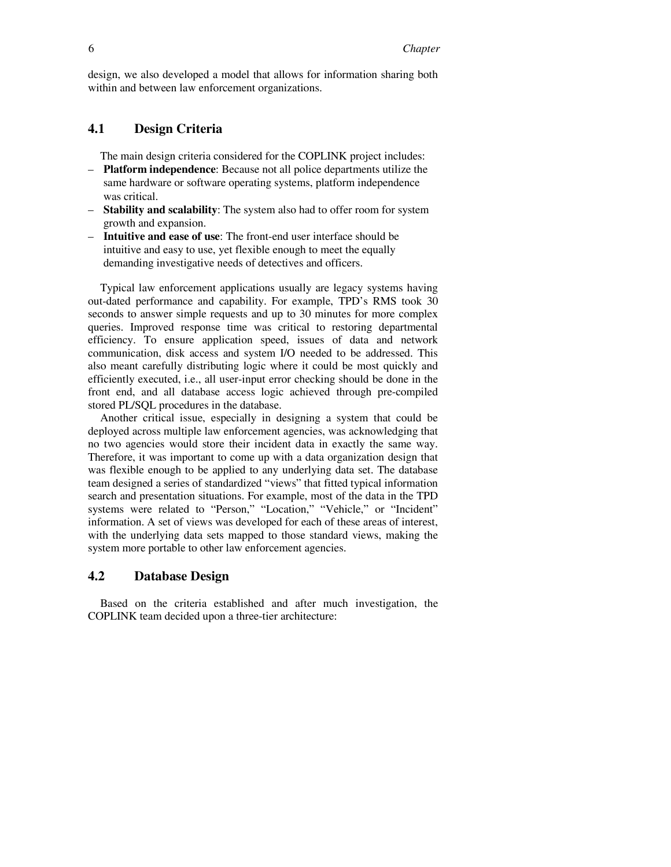design, we also developed a model that allows for information sharing both within and between law enforcement organizations.

# **4.1 Design Criteria**

The main design criteria considered for the COPLINK project includes:

- **Platform independence**: Because not all police departments utilize the same hardware or software operating systems, platform independence was critical.
- **Stability and scalability**: The system also had to offer room for system growth and expansion.
- **Intuitive and ease of use**: The front-end user interface should be intuitive and easy to use, yet flexible enough to meet the equally demanding investigative needs of detectives and officers.

Typical law enforcement applications usually are legacy systems having out-dated performance and capability. For example, TPD's RMS took 30 seconds to answer simple requests and up to 30 minutes for more complex queries. Improved response time was critical to restoring departmental efficiency. To ensure application speed, issues of data and network communication, disk access and system I/O needed to be addressed. This also meant carefully distributing logic where it could be most quickly and efficiently executed, i.e., all user-input error checking should be done in the front end, and all database access logic achieved through pre-compiled stored PL/SQL procedures in the database.

Another critical issue, especially in designing a system that could be deployed across multiple law enforcement agencies, was acknowledging that no two agencies would store their incident data in exactly the same way. Therefore, it was important to come up with a data organization design that was flexible enough to be applied to any underlying data set. The database team designed a series of standardized "views" that fitted typical information search and presentation situations. For example, most of the data in the TPD systems were related to "Person," "Location," "Vehicle," or "Incident" information. A set of views was developed for each of these areas of interest, with the underlying data sets mapped to those standard views, making the system more portable to other law enforcement agencies.

## **4.2 Database Design**

Based on the criteria established and after much investigation, the COPLINK team decided upon a three-tier architecture: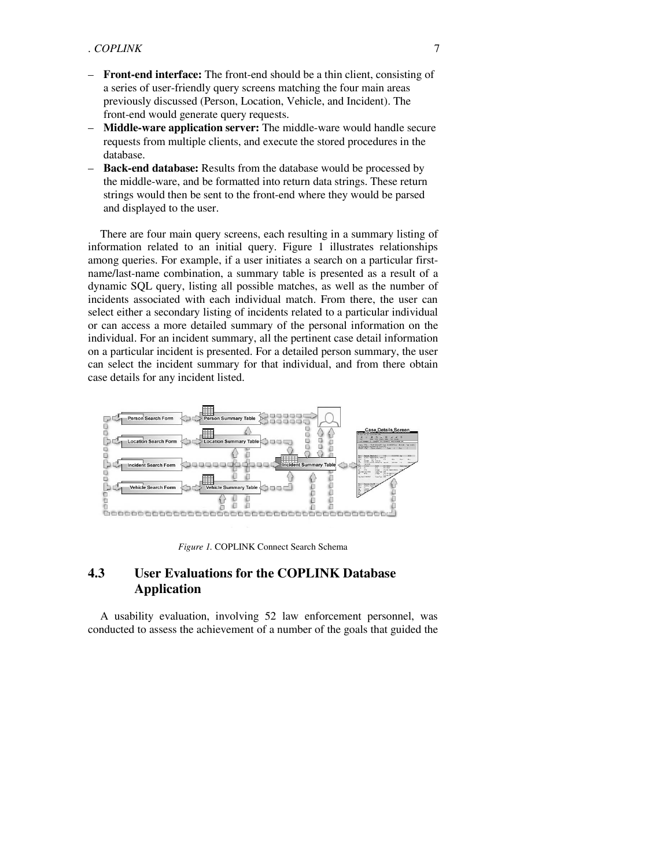- **Front-end interface:** The front-end should be a thin client, consisting of a series of user-friendly query screens matching the four main areas previously discussed (Person, Location, Vehicle, and Incident). The front-end would generate query requests.
- **Middle-ware application server:** The middle-ware would handle secure requests from multiple clients, and execute the stored procedures in the database.
- **Back-end database:** Results from the database would be processed by the middle-ware, and be formatted into return data strings. These return strings would then be sent to the front-end where they would be parsed and displayed to the user.

 There are four main query screens, each resulting in a summary listing of information related to an initial query. Figure 1 illustrates relationships among queries. For example, if a user initiates a search on a particular firstname/last-name combination, a summary table is presented as a result of a dynamic SQL query, listing all possible matches, as well as the number of incidents associated with each individual match. From there, the user can select either a secondary listing of incidents related to a particular individual or can access a more detailed summary of the personal information on the individual. For an incident summary, all the pertinent case detail information on a particular incident is presented. For a detailed person summary, the user can select the incident summary for that individual, and from there obtain case details for any incident listed.



*Figure 1.* COPLINK Connect Search Schema

# **4.3 User Evaluations for the COPLINK Database Application**

A usability evaluation, involving 52 law enforcement personnel, was conducted to assess the achievement of a number of the goals that guided the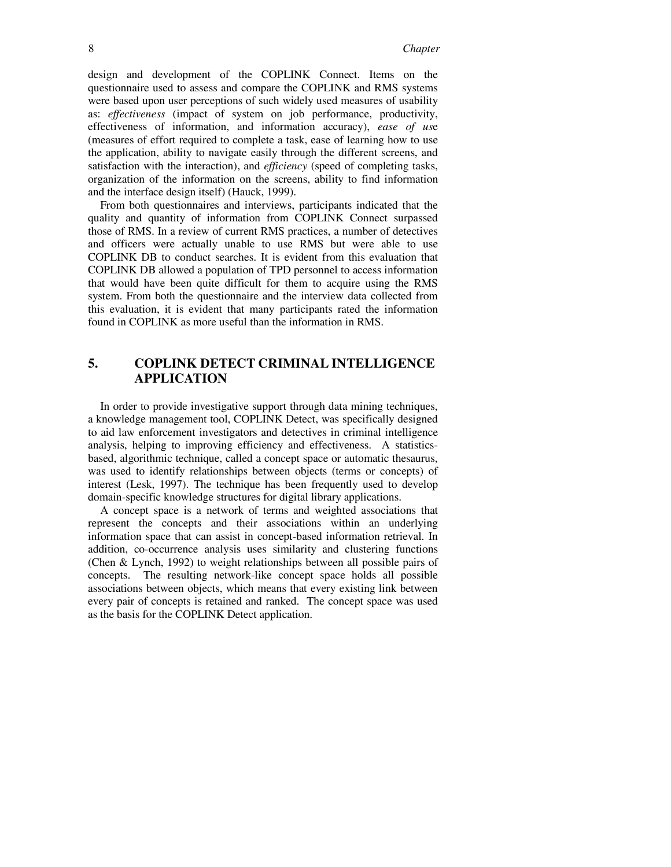design and development of the COPLINK Connect. Items on the questionnaire used to assess and compare the COPLINK and RMS systems were based upon user perceptions of such widely used measures of usability as: *effectiveness* (impact of system on job performance, productivity, effectiveness of information, and information accuracy), *ease of us*e (measures of effort required to complete a task, ease of learning how to use the application, ability to navigate easily through the different screens, and satisfaction with the interaction), and *efficiency* (speed of completing tasks, organization of the information on the screens, ability to find information and the interface design itself) (Hauck, 1999).

From both questionnaires and interviews, participants indicated that the quality and quantity of information from COPLINK Connect surpassed those of RMS. In a review of current RMS practices, a number of detectives and officers were actually unable to use RMS but were able to use COPLINK DB to conduct searches. It is evident from this evaluation that COPLINK DB allowed a population of TPD personnel to access information that would have been quite difficult for them to acquire using the RMS system. From both the questionnaire and the interview data collected from this evaluation, it is evident that many participants rated the information found in COPLINK as more useful than the information in RMS.

# **5. COPLINK DETECT CRIMINAL INTELLIGENCE APPLICATION**

In order to provide investigative support through data mining techniques, a knowledge management tool, COPLINK Detect, was specifically designed to aid law enforcement investigators and detectives in criminal intelligence analysis, helping to improving efficiency and effectiveness. A statisticsbased, algorithmic technique, called a concept space or automatic thesaurus, was used to identify relationships between objects (terms or concepts) of interest (Lesk, 1997). The technique has been frequently used to develop domain-specific knowledge structures for digital library applications.

A concept space is a network of terms and weighted associations that represent the concepts and their associations within an underlying information space that can assist in concept-based information retrieval. In addition, co-occurrence analysis uses similarity and clustering functions (Chen & Lynch, 1992) to weight relationships between all possible pairs of concepts. The resulting network-like concept space holds all possible associations between objects, which means that every existing link between every pair of concepts is retained and ranked. The concept space was used as the basis for the COPLINK Detect application.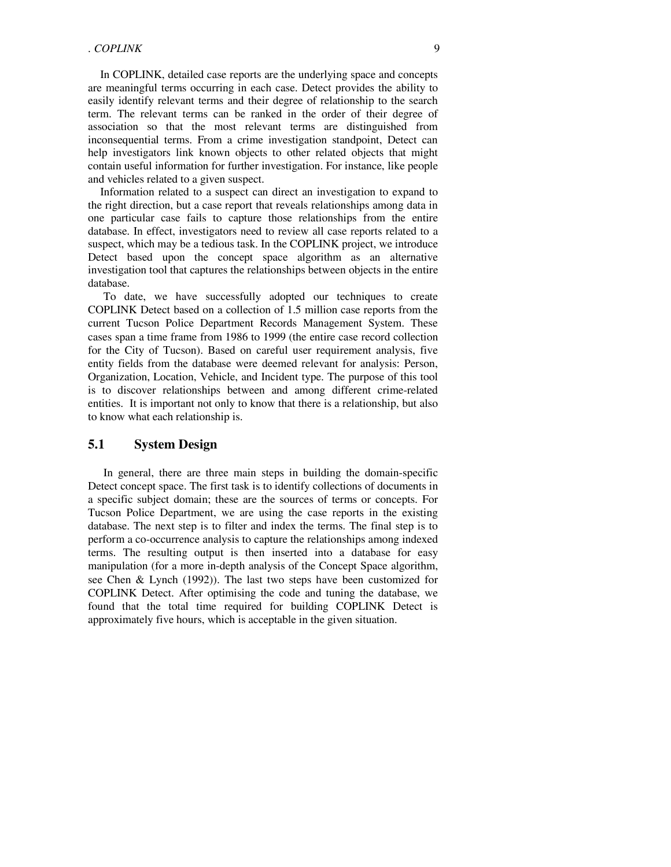In COPLINK, detailed case reports are the underlying space and concepts are meaningful terms occurring in each case. Detect provides the ability to easily identify relevant terms and their degree of relationship to the search term. The relevant terms can be ranked in the order of their degree of association so that the most relevant terms are distinguished from inconsequential terms. From a crime investigation standpoint, Detect can help investigators link known objects to other related objects that might contain useful information for further investigation. For instance, like people and vehicles related to a given suspect.

Information related to a suspect can direct an investigation to expand to the right direction, but a case report that reveals relationships among data in one particular case fails to capture those relationships from the entire database. In effect, investigators need to review all case reports related to a suspect, which may be a tedious task. In the COPLINK project, we introduce Detect based upon the concept space algorithm as an alternative investigation tool that captures the relationships between objects in the entire database.

To date, we have successfully adopted our techniques to create COPLINK Detect based on a collection of 1.5 million case reports from the current Tucson Police Department Records Management System. These cases span a time frame from 1986 to 1999 (the entire case record collection for the City of Tucson). Based on careful user requirement analysis, five entity fields from the database were deemed relevant for analysis: Person, Organization, Location, Vehicle, and Incident type. The purpose of this tool is to discover relationships between and among different crime-related entities. It is important not only to know that there is a relationship, but also to know what each relationship is.

# **5.1 System Design**

In general, there are three main steps in building the domain-specific Detect concept space. The first task is to identify collections of documents in a specific subject domain; these are the sources of terms or concepts. For Tucson Police Department, we are using the case reports in the existing database. The next step is to filter and index the terms. The final step is to perform a co-occurrence analysis to capture the relationships among indexed terms. The resulting output is then inserted into a database for easy manipulation (for a more in-depth analysis of the Concept Space algorithm, see Chen & Lynch (1992)). The last two steps have been customized for COPLINK Detect. After optimising the code and tuning the database, we found that the total time required for building COPLINK Detect is approximately five hours, which is acceptable in the given situation.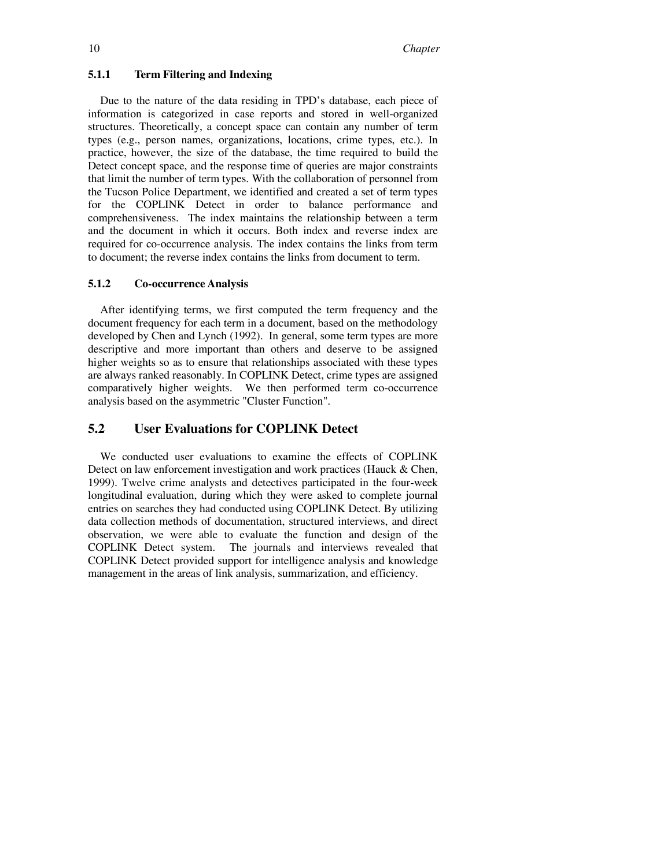#### **5.1.1 Term Filtering and Indexing**

Due to the nature of the data residing in TPD's database, each piece of information is categorized in case reports and stored in well-organized structures. Theoretically, a concept space can contain any number of term types (e.g., person names, organizations, locations, crime types, etc.). In practice, however, the size of the database, the time required to build the Detect concept space, and the response time of queries are major constraints that limit the number of term types. With the collaboration of personnel from the Tucson Police Department, we identified and created a set of term types for the COPLINK Detect in order to balance performance and comprehensiveness. The index maintains the relationship between a term and the document in which it occurs. Both index and reverse index are required for co-occurrence analysis. The index contains the links from term to document; the reverse index contains the links from document to term.

#### **5.1.2 Co-occurrence Analysis**

After identifying terms, we first computed the term frequency and the document frequency for each term in a document, based on the methodology developed by Chen and Lynch (1992). In general, some term types are more descriptive and more important than others and deserve to be assigned higher weights so as to ensure that relationships associated with these types are always ranked reasonably. In COPLINK Detect, crime types are assigned comparatively higher weights. We then performed term co-occurrence analysis based on the asymmetric "Cluster Function".

# **5.2 User Evaluations for COPLINK Detect**

We conducted user evaluations to examine the effects of COPLINK Detect on law enforcement investigation and work practices (Hauck & Chen, 1999). Twelve crime analysts and detectives participated in the four-week longitudinal evaluation, during which they were asked to complete journal entries on searches they had conducted using COPLINK Detect. By utilizing data collection methods of documentation, structured interviews, and direct observation, we were able to evaluate the function and design of the COPLINK Detect system. The journals and interviews revealed that COPLINK Detect provided support for intelligence analysis and knowledge management in the areas of link analysis, summarization, and efficiency.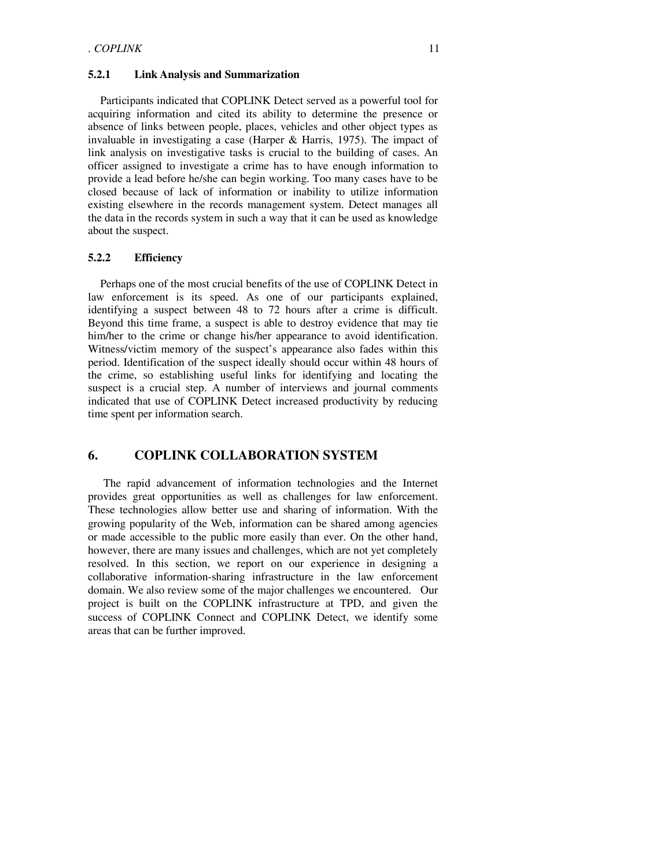#### **5.2.1 Link Analysis and Summarization**

Participants indicated that COPLINK Detect served as a powerful tool for acquiring information and cited its ability to determine the presence or absence of links between people, places, vehicles and other object types as invaluable in investigating a case (Harper & Harris, 1975). The impact of link analysis on investigative tasks is crucial to the building of cases. An officer assigned to investigate a crime has to have enough information to provide a lead before he/she can begin working. Too many cases have to be closed because of lack of information or inability to utilize information existing elsewhere in the records management system. Detect manages all the data in the records system in such a way that it can be used as knowledge about the suspect.

#### **5.2.2 Efficiency**

Perhaps one of the most crucial benefits of the use of COPLINK Detect in law enforcement is its speed. As one of our participants explained, identifying a suspect between 48 to 72 hours after a crime is difficult. Beyond this time frame, a suspect is able to destroy evidence that may tie him/her to the crime or change his/her appearance to avoid identification. Witness/victim memory of the suspect's appearance also fades within this period. Identification of the suspect ideally should occur within 48 hours of the crime, so establishing useful links for identifying and locating the suspect is a crucial step. A number of interviews and journal comments indicated that use of COPLINK Detect increased productivity by reducing time spent per information search.

### **6. COPLINK COLLABORATION SYSTEM**

The rapid advancement of information technologies and the Internet provides great opportunities as well as challenges for law enforcement. These technologies allow better use and sharing of information. With the growing popularity of the Web, information can be shared among agencies or made accessible to the public more easily than ever. On the other hand, however, there are many issues and challenges, which are not yet completely resolved. In this section, we report on our experience in designing a collaborative information-sharing infrastructure in the law enforcement domain. We also review some of the major challenges we encountered. Our project is built on the COPLINK infrastructure at TPD, and given the success of COPLINK Connect and COPLINK Detect, we identify some areas that can be further improved.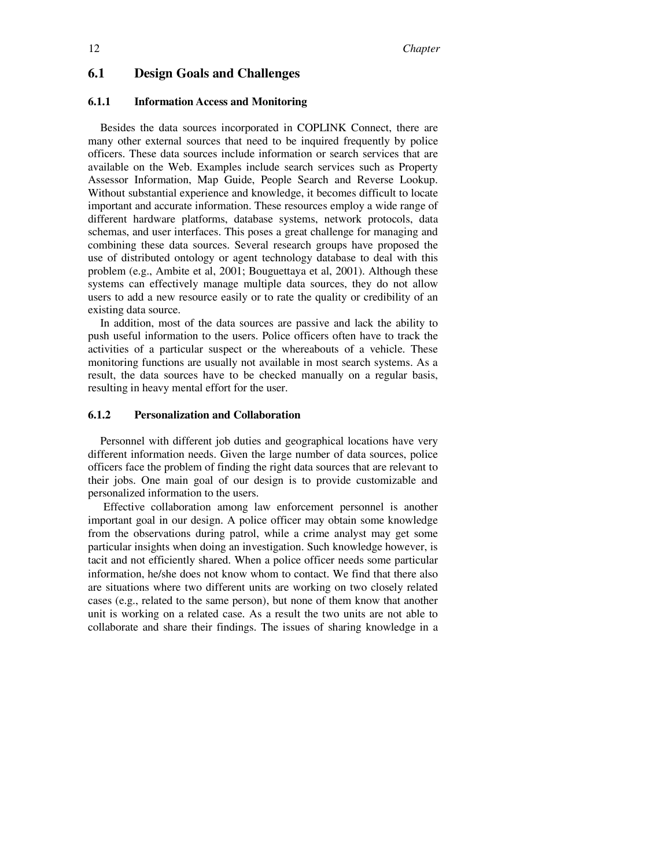## **6.1 Design Goals and Challenges**

#### **6.1.1 Information Access and Monitoring**

Besides the data sources incorporated in COPLINK Connect, there are many other external sources that need to be inquired frequently by police officers. These data sources include information or search services that are available on the Web. Examples include search services such as Property Assessor Information, Map Guide, People Search and Reverse Lookup. Without substantial experience and knowledge, it becomes difficult to locate important and accurate information. These resources employ a wide range of different hardware platforms, database systems, network protocols, data schemas, and user interfaces. This poses a great challenge for managing and combining these data sources. Several research groups have proposed the use of distributed ontology or agent technology database to deal with this problem (e.g., Ambite et al, 2001; Bouguettaya et al, 2001). Although these systems can effectively manage multiple data sources, they do not allow users to add a new resource easily or to rate the quality or credibility of an existing data source.

In addition, most of the data sources are passive and lack the ability to push useful information to the users. Police officers often have to track the activities of a particular suspect or the whereabouts of a vehicle. These monitoring functions are usually not available in most search systems. As a result, the data sources have to be checked manually on a regular basis, resulting in heavy mental effort for the user.

#### **6.1.2 Personalization and Collaboration**

Personnel with different job duties and geographical locations have very different information needs. Given the large number of data sources, police officers face the problem of finding the right data sources that are relevant to their jobs. One main goal of our design is to provide customizable and personalized information to the users.

Effective collaboration among law enforcement personnel is another important goal in our design. A police officer may obtain some knowledge from the observations during patrol, while a crime analyst may get some particular insights when doing an investigation. Such knowledge however, is tacit and not efficiently shared. When a police officer needs some particular information, he/she does not know whom to contact. We find that there also are situations where two different units are working on two closely related cases (e.g., related to the same person), but none of them know that another unit is working on a related case. As a result the two units are not able to collaborate and share their findings. The issues of sharing knowledge in a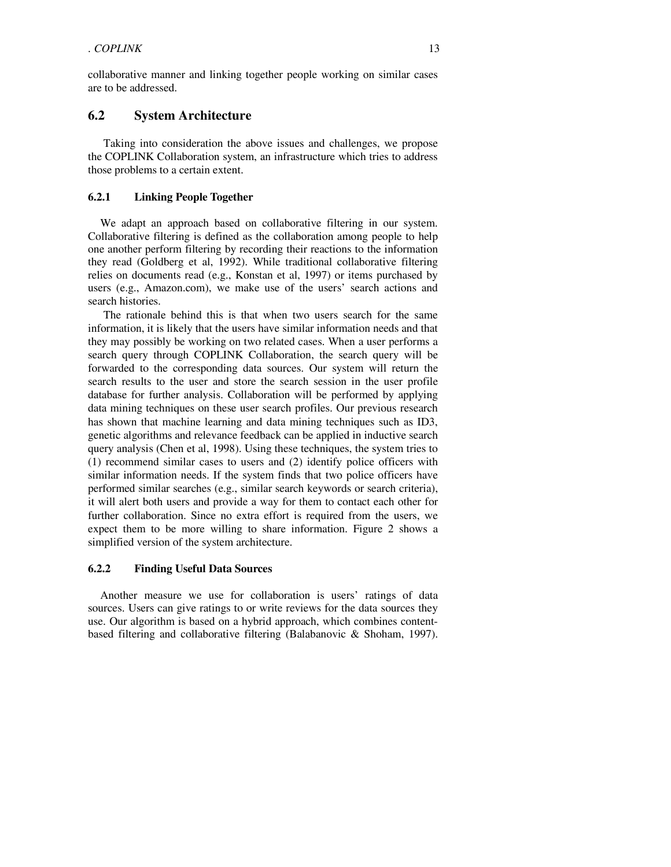# **6.2 System Architecture**

Taking into consideration the above issues and challenges, we propose the COPLINK Collaboration system, an infrastructure which tries to address those problems to a certain extent.

### **6.2.1 Linking People Together**

We adapt an approach based on collaborative filtering in our system. Collaborative filtering is defined as the collaboration among people to help one another perform filtering by recording their reactions to the information they read (Goldberg et al, 1992). While traditional collaborative filtering relies on documents read (e.g., Konstan et al, 1997) or items purchased by users (e.g., Amazon.com), we make use of the users' search actions and search histories.

The rationale behind this is that when two users search for the same information, it is likely that the users have similar information needs and that they may possibly be working on two related cases. When a user performs a search query through COPLINK Collaboration, the search query will be forwarded to the corresponding data sources. Our system will return the search results to the user and store the search session in the user profile database for further analysis. Collaboration will be performed by applying data mining techniques on these user search profiles. Our previous research has shown that machine learning and data mining techniques such as ID3, genetic algorithms and relevance feedback can be applied in inductive search query analysis (Chen et al, 1998). Using these techniques, the system tries to (1) recommend similar cases to users and (2) identify police officers with similar information needs. If the system finds that two police officers have performed similar searches (e.g., similar search keywords or search criteria), it will alert both users and provide a way for them to contact each other for further collaboration. Since no extra effort is required from the users, we expect them to be more willing to share information. Figure 2 shows a simplified version of the system architecture.

#### **6.2.2 Finding Useful Data Sources**

Another measure we use for collaboration is users' ratings of data sources. Users can give ratings to or write reviews for the data sources they use. Our algorithm is based on a hybrid approach, which combines contentbased filtering and collaborative filtering (Balabanovic & Shoham, 1997).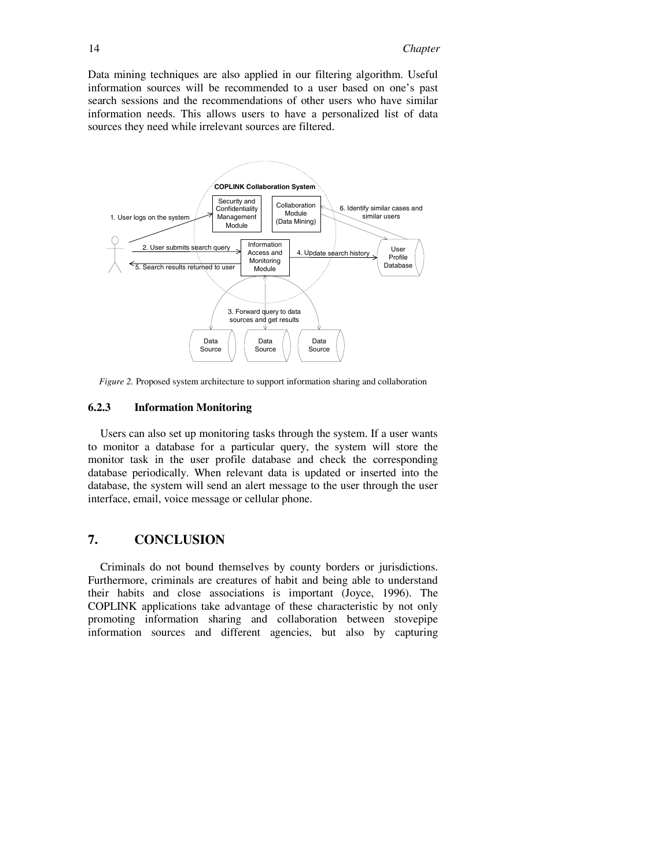Data mining techniques are also applied in our filtering algorithm. Useful information sources will be recommended to a user based on one's past search sessions and the recommendations of other users who have similar information needs. This allows users to have a personalized list of data sources they need while irrelevant sources are filtered.



*Figure 2.* Proposed system architecture to support information sharing and collaboration

#### **6.2.3 Information Monitoring**

Users can also set up monitoring tasks through the system. If a user wants to monitor a database for a particular query, the system will store the monitor task in the user profile database and check the corresponding database periodically. When relevant data is updated or inserted into the database, the system will send an alert message to the user through the user interface, email, voice message or cellular phone.

# **7. CONCLUSION**

Criminals do not bound themselves by county borders or jurisdictions. Furthermore, criminals are creatures of habit and being able to understand their habits and close associations is important (Joyce, 1996). The COPLINK applications take advantage of these characteristic by not only promoting information sharing and collaboration between stovepipe information sources and different agencies, but also by capturing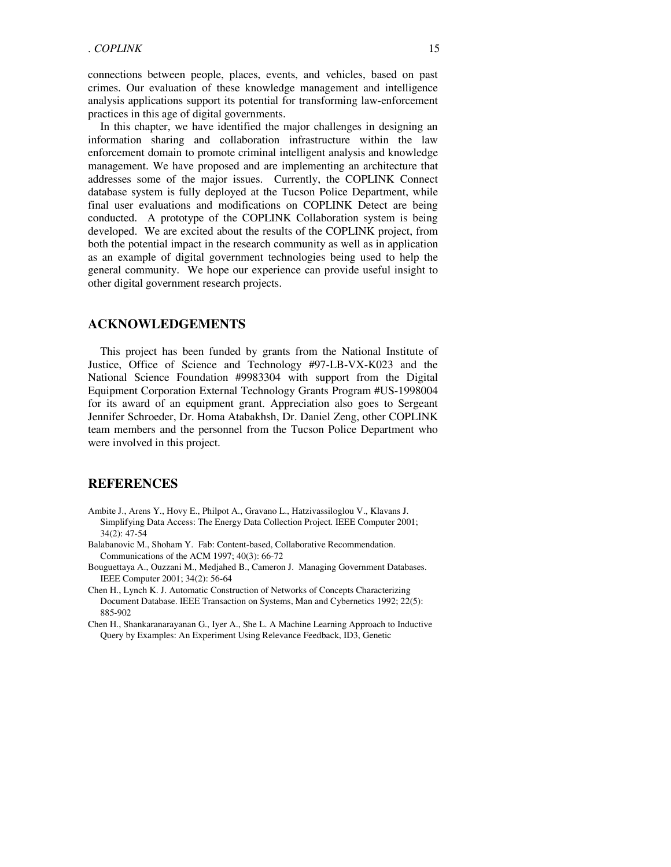connections between people, places, events, and vehicles, based on past crimes. Our evaluation of these knowledge management and intelligence analysis applications support its potential for transforming law-enforcement practices in this age of digital governments.

In this chapter, we have identified the major challenges in designing an information sharing and collaboration infrastructure within the law enforcement domain to promote criminal intelligent analysis and knowledge management. We have proposed and are implementing an architecture that addresses some of the major issues. Currently, the COPLINK Connect database system is fully deployed at the Tucson Police Department, while final user evaluations and modifications on COPLINK Detect are being conducted. A prototype of the COPLINK Collaboration system is being developed. We are excited about the results of the COPLINK project, from both the potential impact in the research community as well as in application as an example of digital government technologies being used to help the general community. We hope our experience can provide useful insight to other digital government research projects.

### **ACKNOWLEDGEMENTS**

This project has been funded by grants from the National Institute of Justice, Office of Science and Technology #97-LB-VX-K023 and the National Science Foundation #9983304 with support from the Digital Equipment Corporation External Technology Grants Program #US-1998004 for its award of an equipment grant. Appreciation also goes to Sergeant Jennifer Schroeder, Dr. Homa Atabakhsh, Dr. Daniel Zeng, other COPLINK team members and the personnel from the Tucson Police Department who were involved in this project.

### **REFERENCES**

- Ambite J., Arens Y., Hovy E., Philpot A., Gravano L., Hatzivassiloglou V., Klavans J. Simplifying Data Access: The Energy Data Collection Project. IEEE Computer 2001; 34(2): 47-54
- Balabanovic M., Shoham Y. Fab: Content-based, Collaborative Recommendation. Communications of the ACM 1997; 40(3): 66-72
- Bouguettaya A., Ouzzani M., Medjahed B., Cameron J. Managing Government Databases. IEEE Computer 2001; 34(2): 56-64
- Chen H., Lynch K. J. Automatic Construction of Networks of Concepts Characterizing Document Database. IEEE Transaction on Systems, Man and Cybernetics 1992; 22(5): 885-902
- Chen H., Shankaranarayanan G., Iyer A., She L. A Machine Learning Approach to Inductive Query by Examples: An Experiment Using Relevance Feedback, ID3, Genetic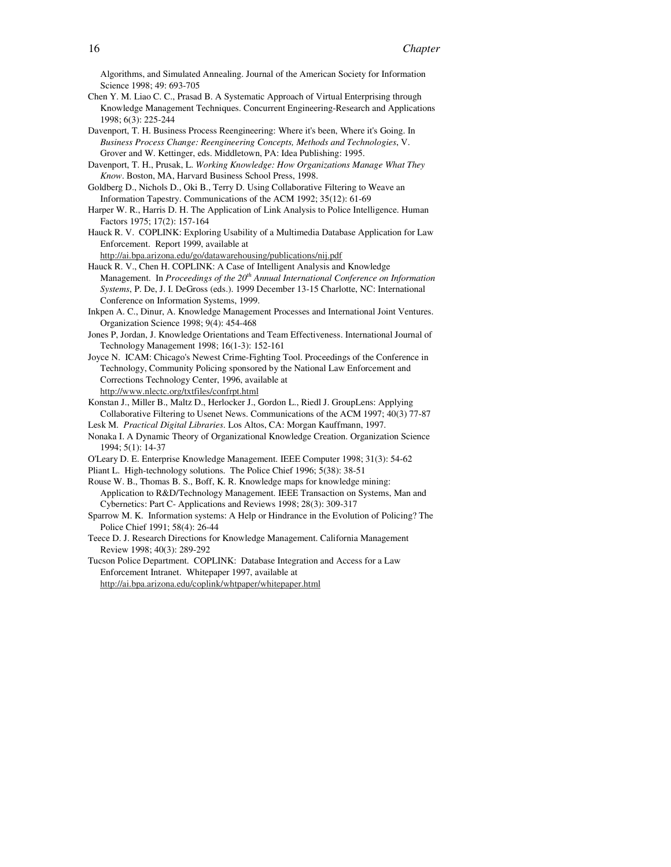Algorithms, and Simulated Annealing. Journal of the American Society for Information Science 1998; 49: 693-705

- Chen Y. M. Liao C. C., Prasad B. A Systematic Approach of Virtual Enterprising through Knowledge Management Techniques. Concurrent Engineering-Research and Applications 1998; 6(3): 225-244
- Davenport, T. H. Business Process Reengineering: Where it's been, Where it's Going. In *Business Process Change: Reengineering Concepts, Methods and Technologies*, V. Grover and W. Kettinger, eds. Middletown, PA: Idea Publishing: 1995.
- Davenport, T. H., Prusak, L. *Working Knowledge: How Organizations Manage What They Know*. Boston, MA, Harvard Business School Press, 1998.
- Goldberg D., Nichols D., Oki B., Terry D. Using Collaborative Filtering to Weave an Information Tapestry. Communications of the ACM 1992; 35(12): 61-69
- Harper W. R., Harris D. H. The Application of Link Analysis to Police Intelligence. Human Factors 1975; 17(2): 157-164
- Hauck R. V. COPLINK: Exploring Usability of a Multimedia Database Application for Law Enforcement. Report 1999, available at
- http://ai.bpa.arizona.edu/go/datawarehousing/publications/nij.pdf
- Hauck R. V., Chen H. COPLINK: A Case of Intelligent Analysis and Knowledge Management. In *Proceedings of the 20<sup>th</sup> Annual International Conference on Information Systems*, P. De, J. I. DeGross (eds.). 1999 December 13-15 Charlotte, NC: International Conference on Information Systems, 1999.
- Inkpen A. C., Dinur, A. Knowledge Management Processes and International Joint Ventures. Organization Science 1998; 9(4): 454-468
- Jones P, Jordan, J. Knowledge Orientations and Team Effectiveness. International Journal of Technology Management 1998; 16(1-3): 152-161
- Joyce N. ICAM: Chicago's Newest Crime-Fighting Tool. Proceedings of the Conference in Technology, Community Policing sponsored by the National Law Enforcement and Corrections Technology Center, 1996, available at http://www.nlectc.org/txtfiles/confrpt.html
- Konstan J., Miller B., Maltz D., Herlocker J., Gordon L., Riedl J. GroupLens: Applying Collaborative Filtering to Usenet News. Communications of the ACM 1997; 40(3) 77-87
- Lesk M. *Practical Digital Libraries*. Los Altos, CA: Morgan Kauffmann, 1997.
- Nonaka I. A Dynamic Theory of Organizational Knowledge Creation. Organization Science 1994; 5(1): 14-37
- O'Leary D. E. Enterprise Knowledge Management. IEEE Computer 1998; 31(3): 54-62
- Pliant L. High-technology solutions. The Police Chief 1996; 5(38): 38-51
- Rouse W. B., Thomas B. S., Boff, K. R. Knowledge maps for knowledge mining: Application to R&D/Technology Management. IEEE Transaction on Systems, Man and Cybernetics: Part C- Applications and Reviews 1998; 28(3): 309-317
- Sparrow M. K. Information systems: A Help or Hindrance in the Evolution of Policing? The Police Chief 1991; 58(4): 26-44
- Teece D. J. Research Directions for Knowledge Management. California Management Review 1998; 40(3): 289-292

Tucson Police Department. COPLINK: Database Integration and Access for a Law Enforcement Intranet. Whitepaper 1997, available at http://ai.bpa.arizona.edu/coplink/whtpaper/whitepaper.html